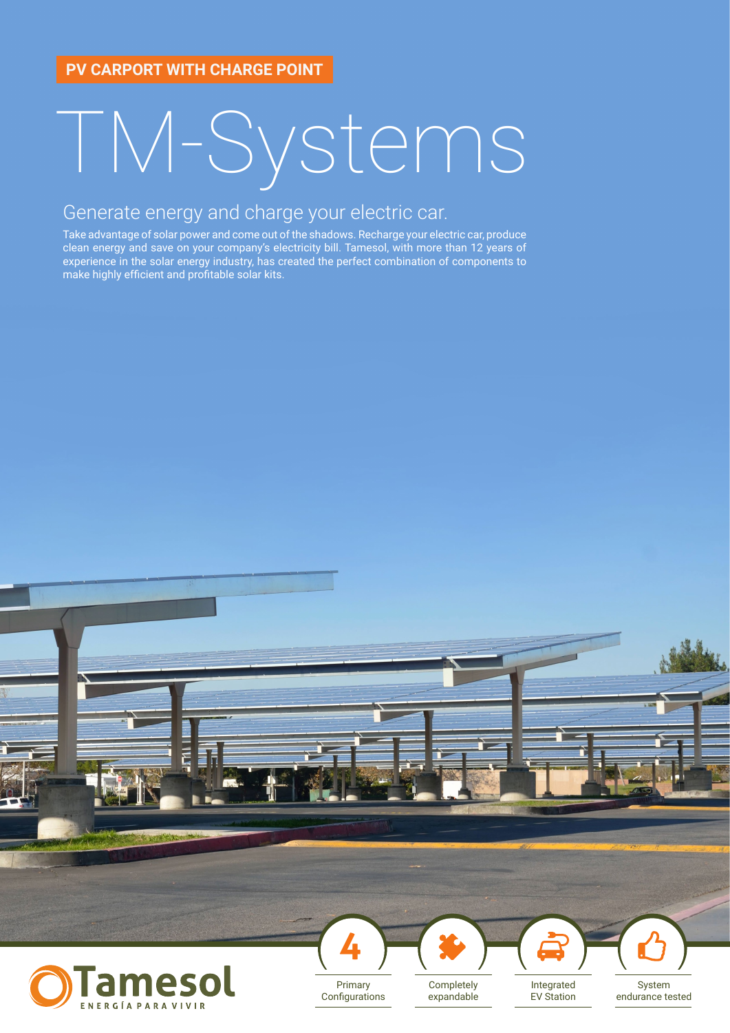# TM-Systems

### Generate energy and charge your electric car.

Take advantage of solar power and come out of the shadows. Recharge your electric car, produce clean energy and save on your company's electricity bill. Tamesol, with more than 12 years of experience in the solar energy industry, has created the perfect combination of components to make highly efficient and profitable solar kits.



Configurations

ENERGÍA PARA VIVIR

expandable

EV Station

System endurance tested